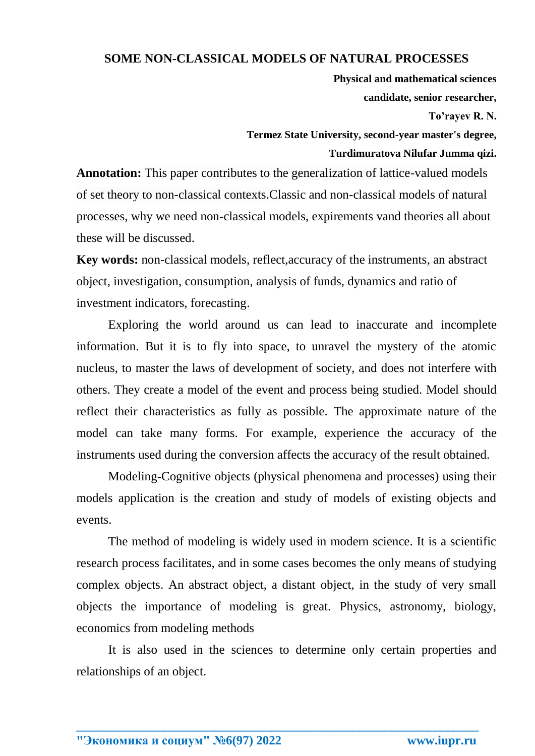## **SOME NON-CLASSICAL MODELS OF NATURAL PROCESSES**

**Physical and mathematical sciences candidate, senior researcher,**

**To'rayev R. N.** 

**Termez State University, second-year master's degree, Turdimuratova Nilufar Jumma qizi.**

**Annotation:** This paper contributes to the generalization of lattice-valued models of set theory to non-classical contexts.Classic and non-classical models of natural processes, why we need non-classical models, expirements vand theories all about these will be discussed.

**Key words:** non-classical models, reflect,accuracy of the instruments, an abstract object, investigation, consumption, analysis of funds, dynamics and ratio of investment indicators, forecasting.

Exploring the world around us can lead to inaccurate and incomplete information. But it is to fly into space, to unravel the mystery of the atomic nucleus, to master the laws of development of society, and does not interfere with others. They create a model of the event and process being studied. Model should reflect their characteristics as fully as possible. The approximate nature of the model can take many forms. For example, experience the accuracy of the instruments used during the conversion affects the accuracy of the result obtained.

Modeling-Cognitive objects (physical phenomena and processes) using their models application is the creation and study of models of existing objects and events.

The method of modeling is widely used in modern science. It is a scientific research process facilitates, and in some cases becomes the only means of studying complex objects. An abstract object, a distant object, in the study of very small objects the importance of modeling is great. Physics, astronomy, biology, economics from modeling methods

It is also used in the sciences to determine only certain properties and relationships of an object.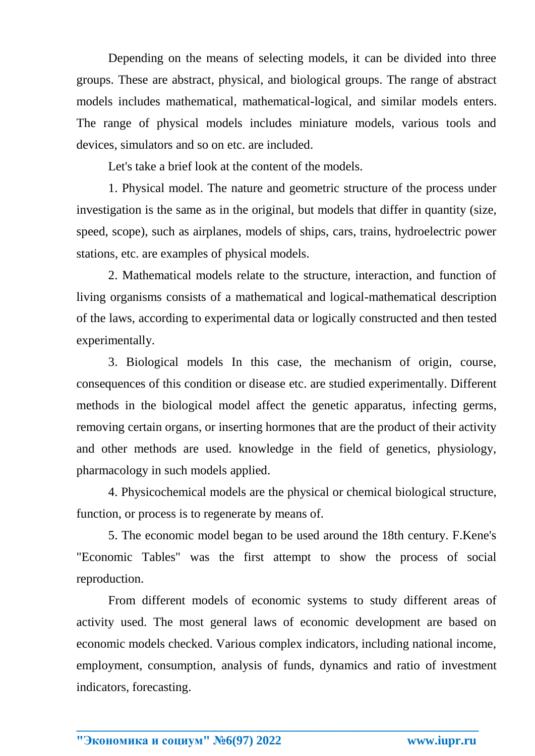Depending on the means of selecting models, it can be divided into three groups. These are abstract, physical, and biological groups. The range of abstract models includes mathematical, mathematical-logical, and similar models enters. The range of physical models includes miniature models, various tools and devices, simulators and so on etc. are included.

Let's take a brief look at the content of the models.

1. Physical model. The nature and geometric structure of the process under investigation is the same as in the original, but models that differ in quantity (size, speed, scope), such as airplanes, models of ships, cars, trains, hydroelectric power stations, etc. are examples of physical models.

2. Mathematical models relate to the structure, interaction, and function of living organisms consists of a mathematical and logical-mathematical description of the laws, according to experimental data or logically constructed and then tested experimentally.

3. Biological models In this case, the mechanism of origin, course, consequences of this condition or disease etc. are studied experimentally. Different methods in the biological model affect the genetic apparatus, infecting germs, removing certain organs, or inserting hormones that are the product of their activity and other methods are used. knowledge in the field of genetics, physiology, pharmacology in such models applied.

4. Physicochemical models are the physical or chemical biological structure, function, or process is to regenerate by means of.

5. The economic model began to be used around the 18th century. F.Kene's "Economic Tables" was the first attempt to show the process of social reproduction.

From different models of economic systems to study different areas of activity used. The most general laws of economic development are based on economic models checked. Various complex indicators, including national income, employment, consumption, analysis of funds, dynamics and ratio of investment indicators, forecasting.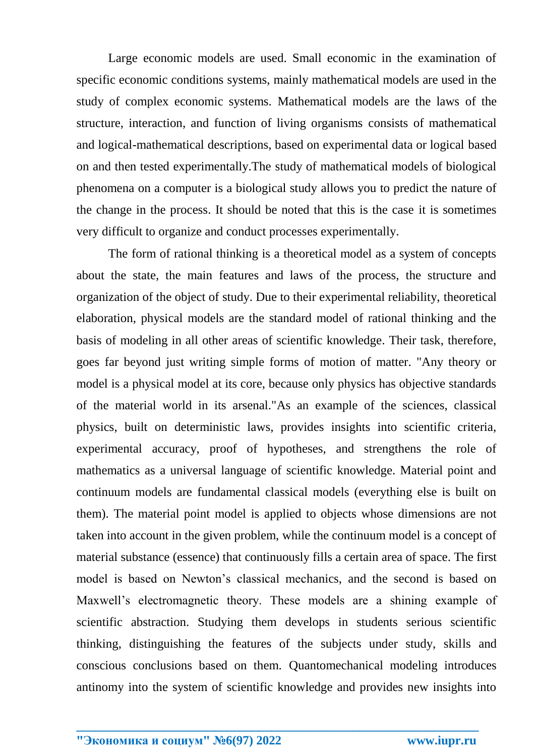Large economic models are used. Small economic in the examination of specific economic conditions systems, mainly mathematical models are used in the study of complex economic systems. Mathematical models are the laws of the structure, interaction, and function of living organisms consists of mathematical and logical-mathematical descriptions, based on experimental data or logical based on and then tested experimentally.The study of mathematical models of biological phenomena on a computer is a biological study allows you to predict the nature of the change in the process. It should be noted that this is the case it is sometimes very difficult to organize and conduct processes experimentally.

The form of rational thinking is a theoretical model as a system of concepts about the state, the main features and laws of the process, the structure and organization of the object of study. Due to their experimental reliability, theoretical elaboration, physical models are the standard model of rational thinking and the basis of modeling in all other areas of scientific knowledge. Their task, therefore, goes far beyond just writing simple forms of motion of matter. "Any theory or model is a physical model at its core, because only physics has objective standards of the material world in its arsenal."As an example of the sciences, classical physics, built on deterministic laws, provides insights into scientific criteria, experimental accuracy, proof of hypotheses, and strengthens the role of mathematics as a universal language of scientific knowledge. Material point and continuum models are fundamental classical models (everything else is built on them). The material point model is applied to objects whose dimensions are not taken into account in the given problem, while the continuum model is a concept of material substance (essence) that continuously fills a certain area of space. The first model is based on Newton's classical mechanics, and the second is based on Maxwell's electromagnetic theory. These models are a shining example of scientific abstraction. Studying them develops in students serious scientific thinking, distinguishing the features of the subjects under study, skills and conscious conclusions based on them. Quantomechanical modeling introduces antinomy into the system of scientific knowledge and provides new insights into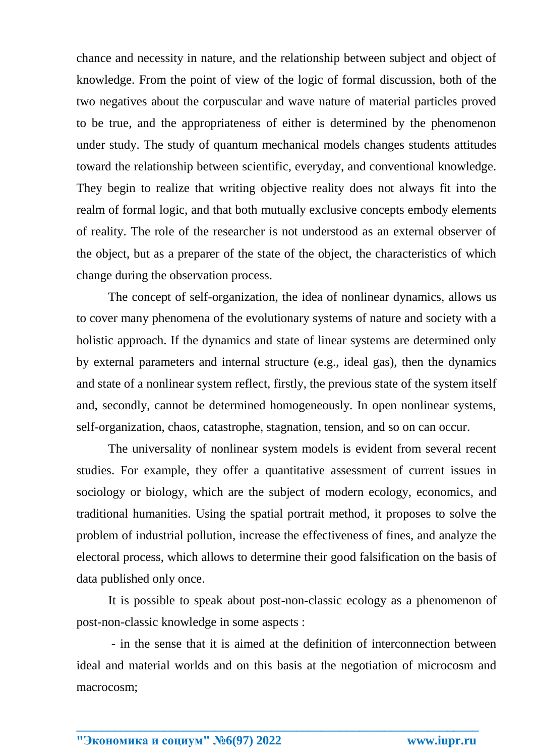chance and necessity in nature, and the relationship between subject and object of knowledge. From the point of view of the logic of formal discussion, both of the two negatives about the corpuscular and wave nature of material particles proved to be true, and the appropriateness of either is determined by the phenomenon under study. The study of quantum mechanical models changes students attitudes toward the relationship between scientific, everyday, and conventional knowledge. They begin to realize that writing objective reality does not always fit into the realm of formal logic, and that both mutually exclusive concepts embody elements of reality. The role of the researcher is not understood as an external observer of the object, but as a preparer of the state of the object, the characteristics of which change during the observation process.

The concept of self-organization, the idea of nonlinear dynamics, allows us to cover many phenomena of the evolutionary systems of nature and society with a holistic approach. If the dynamics and state of linear systems are determined only by external parameters and internal structure (e.g., ideal gas), then the dynamics and state of a nonlinear system reflect, firstly, the previous state of the system itself and, secondly, cannot be determined homogeneously. In open nonlinear systems, self-organization, chaos, catastrophe, stagnation, tension, and so on can occur.

The universality of nonlinear system models is evident from several recent studies. For example, they offer a quantitative assessment of current issues in sociology or biology, which are the subject of modern ecology, economics, and traditional humanities. Using the spatial portrait method, it proposes to solve the problem of industrial pollution, increase the effectiveness of fines, and analyze the electoral process, which allows to determine their good falsification on the basis of data published only once.

It is possible to speak about post-non-classic ecology as a phenomenon of post-non-classic knowledge in some aspects :

- in the sense that it is aimed at the definition of interconnection between ideal and material worlds and on this basis at the negotiation of microcosm and macrocosm;